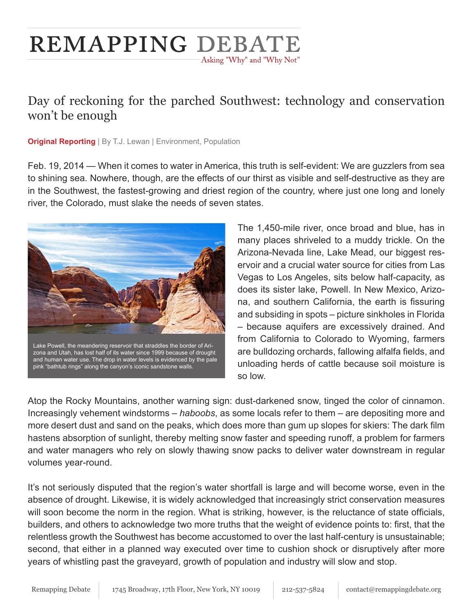# **REMAPPING DEBATE** Asking "Why" and "Why Not"

## Day of reckoning for the parched Southwest: technology and conservation won't be enough

**Original Reporting** | By T.J. Lewan | Environment, Population

Feb. 19, 2014 — When it comes to water in America, this truth is self-evident: We are guzzlers from sea to shining sea. Nowhere, though, are the effects of our thirst as visible and self-destructive as they are in the Southwest, the fastest-growing and driest region of the country, where just one long and lonely river, the Colorado, must slake the needs of seven states.



The 1,450-mile river, once broad and blue, has in many places shriveled to a muddy trickle. On the Arizona-Nevada line, Lake Mead, our biggest reservoir and a crucial water source for cities from Las Vegas to Los Angeles, sits below half-capacity, as does its sister lake, Powell. In New Mexico, Arizona, and southern California, the earth is fissuring and subsiding in spots – picture sinkholes in Florida – because aquifers are excessively drained. And from California to Colorado to Wyoming, farmers are bulldozing orchards, fallowing alfalfa fields, and unloading herds of cattle because soil moisture is so low.

Atop the Rocky Mountains, another warning sign: dust-darkened snow, tinged the color of cinnamon. Increasingly vehement windstorms – *haboobs*, as some locals refer to them – are depositing more and more desert dust and sand on the peaks, which does more than gum up slopes for skiers: The dark film hastens absorption of sunlight, thereby melting snow faster and speeding runoff, a problem for farmers and water managers who rely on slowly thawing snow packs to deliver water downstream in regular volumes year-round.

It's not seriously disputed that the region's water shortfall is large and will become worse, even in the absence of drought. Likewise, it is widely acknowledged that increasingly strict conservation measures will soon become the norm in the region. What is striking, however, is the reluctance of state officials, builders, and others to acknowledge two more truths that the weight of evidence points to: first, that the relentless growth the Southwest has become accustomed to over the last half-century is unsustainable; second, that either in a planned way executed over time to cushion shock or disruptively after more years of whistling past the graveyard, growth of population and industry will slow and stop.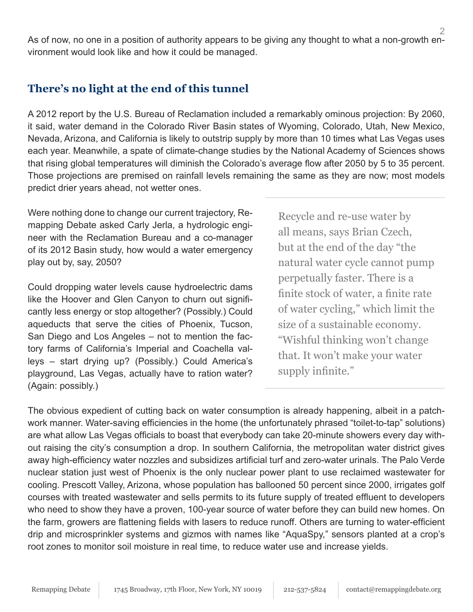2 As of now, no one in a position of authority appears to be giving any thought to what a non-growth environment would look like and how it could be managed.

#### **There's no light at the end of this tunnel**

A 2012 report by the U.S. Bureau of Reclamation included a remarkably ominous projection: By 2060, it said, water demand in the Colorado River Basin states of Wyoming, Colorado, Utah, New Mexico, Nevada, Arizona, and California is likely to outstrip supply by more than 10 times what Las Vegas uses each year. Meanwhile, a spate of climate-change studies by the National Academy of Sciences shows that rising global temperatures will diminish the Colorado's average flow after 2050 by 5 to 35 percent. Those projections are premised on rainfall levels remaining the same as they are now; most models predict drier years ahead, not wetter ones.

Were nothing done to change our current trajectory, Remapping Debate asked Carly Jerla, a hydrologic engineer with the Reclamation Bureau and a co-manager of its 2012 Basin study, how would a water emergency play out by, say, 2050?

Could dropping water levels cause hydroelectric dams like the Hoover and Glen Canyon to churn out significantly less energy or stop altogether? (Possibly.) Could aqueducts that serve the cities of Phoenix, Tucson, San Diego and Los Angeles – not to mention the factory farms of California's Imperial and Coachella valleys – start drying up? (Possibly.) Could America's playground, Las Vegas, actually have to ration water? (Again: possibly.)

Recycle and re-use water by all means, says Brian Czech, but at the end of the day "the natural water cycle cannot pump perpetually faster. There is a finite stock of water, a finite rate of water cycling," which limit the size of a sustainable economy. "Wishful thinking won't change that. It won't make your water supply infinite."

The obvious expedient of cutting back on water consumption is already happening, albeit in a patchwork manner. Water-saving efficiencies in the home (the unfortunately phrased "toilet-to-tap" solutions) are what allow Las Vegas officials to boast that everybody can take 20-minute showers every day without raising the city's consumption a drop. In southern California, the metropolitan water district gives away high-efficiency water nozzles and subsidizes artificial turf and zero-water urinals. The Palo Verde nuclear station just west of Phoenix is the only nuclear power plant to use reclaimed wastewater for cooling. Prescott Valley, Arizona, whose population has ballooned 50 percent since 2000, irrigates golf courses with treated wastewater and sells permits to its future supply of treated effluent to developers who need to show they have a proven, 100-year source of water before they can build new homes. On the farm, growers are flattening fields with lasers to reduce runoff. Others are turning to water-efficient drip and microsprinkler systems and gizmos with names like "AquaSpy," sensors planted at a crop's root zones to monitor soil moisture in real time, to reduce water use and increase yields.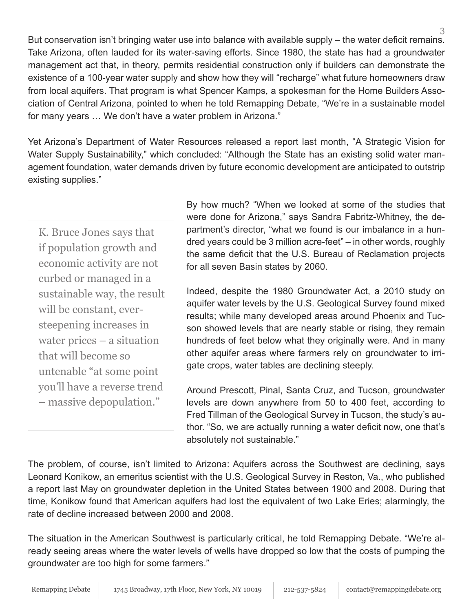3 But conservation isn't bringing water use into balance with available supply – the water deficit remains. Take Arizona, often lauded for its water-saving efforts. Since 1980, the state has had a groundwater management act that, in theory, permits residential construction only if builders can demonstrate the existence of a 100-year water supply and show how they will "recharge" what future homeowners draw from local aquifers. That program is what Spencer Kamps, a spokesman for the Home Builders Association of Central Arizona, pointed to when he told Remapping Debate, "We're in a sustainable model for many years … We don't have a water problem in Arizona."

Yet Arizona's Department of Water Resources released a report last month, "A Strategic Vision for Water Supply Sustainability," which concluded: "Although the State has an existing solid water management foundation, water demands driven by future economic development are anticipated to outstrip existing supplies."

K. Bruce Jones says that if population growth and economic activity are not curbed or managed in a sustainable way, the result will be constant, eversteepening increases in water prices – a situation that will become so untenable "at some point you'll have a reverse trend – massive depopulation."

By how much? "When we looked at some of the studies that were done for Arizona," says Sandra Fabritz-Whitney, the department's director, "what we found is our imbalance in a hundred years could be 3 million acre-feet" – in other words, roughly the same deficit that the U.S. Bureau of Reclamation projects for all seven Basin states by 2060.

Indeed, despite the 1980 Groundwater Act, a 2010 study on aquifer water levels by the U.S. Geological Survey found mixed results; while many developed areas around Phoenix and Tucson showed levels that are nearly stable or rising, they remain hundreds of feet below what they originally were. And in many other aquifer areas where farmers rely on groundwater to irrigate crops, water tables are declining steeply.

Around Prescott, Pinal, Santa Cruz, and Tucson, groundwater levels are down anywhere from 50 to 400 feet, according to Fred Tillman of the Geological Survey in Tucson, the study's author. "So, we are actually running a water deficit now, one that's absolutely not sustainable."

The problem, of course, isn't limited to Arizona: Aquifers across the Southwest are declining, says Leonard Konikow, an emeritus scientist with the U.S. Geological Survey in Reston, Va., who published a report last May on groundwater depletion in the United States between 1900 and 2008. During that time, Konikow found that American aquifers had lost the equivalent of two Lake Eries; alarmingly, the rate of decline increased between 2000 and 2008.

The situation in the American Southwest is particularly critical, he told Remapping Debate. "We're already seeing areas where the water levels of wells have dropped so low that the costs of pumping the groundwater are too high for some farmers."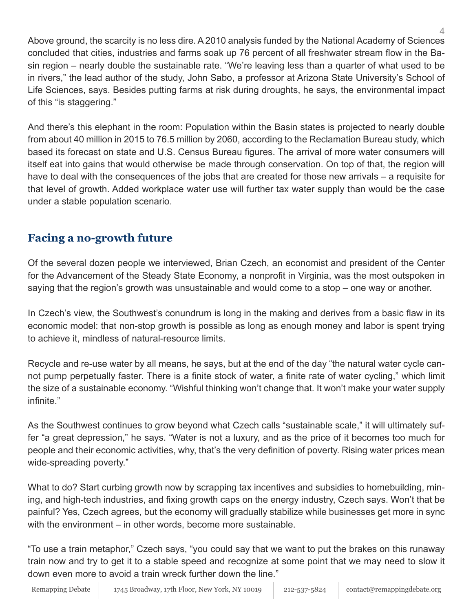4 Above ground, the scarcity is no less dire. A 2010 analysis funded by the National Academy of Sciences concluded that cities, industries and farms soak up 76 percent of all freshwater stream flow in the Basin region – nearly double the sustainable rate. "We're leaving less than a quarter of what used to be in rivers," the lead author of the study, John Sabo, a professor at Arizona State University's School of Life Sciences, says. Besides putting farms at risk during droughts, he says, the environmental impact of this "is staggering."

And there's this elephant in the room: Population within the Basin states is projected to nearly double from about 40 million in 2015 to 76.5 million by 2060, according to the Reclamation Bureau study, which based its forecast on state and U.S. Census Bureau figures. The arrival of more water consumers will itself eat into gains that would otherwise be made through conservation. On top of that, the region will have to deal with the consequences of the jobs that are created for those new arrivals – a requisite for that level of growth. Added workplace water use will further tax water supply than would be the case under a stable population scenario.

## **Facing a no-growth future**

Of the several dozen people we interviewed, Brian Czech, an economist and president of the Center for the Advancement of the Steady State Economy, a nonprofit in Virginia, was the most outspoken in saying that the region's growth was unsustainable and would come to a stop – one way or another.

In Czech's view, the Southwest's conundrum is long in the making and derives from a basic flaw in its economic model: that non-stop growth is possible as long as enough money and labor is spent trying to achieve it, mindless of natural-resource limits.

Recycle and re-use water by all means, he says, but at the end of the day "the natural water cycle cannot pump perpetually faster. There is a finite stock of water, a finite rate of water cycling," which limit the size of a sustainable economy. "Wishful thinking won't change that. It won't make your water supply infinite."

As the Southwest continues to grow beyond what Czech calls "sustainable scale," it will ultimately suffer "a great depression," he says. "Water is not a luxury, and as the price of it becomes too much for people and their economic activities, why, that's the very definition of poverty. Rising water prices mean wide-spreading poverty."

What to do? Start curbing growth now by scrapping tax incentives and subsidies to homebuilding, mining, and high-tech industries, and fixing growth caps on the energy industry, Czech says. Won't that be painful? Yes, Czech agrees, but the economy will gradually stabilize while businesses get more in sync with the environment – in other words, become more sustainable.

"To use a train metaphor," Czech says, "you could say that we want to put the brakes on this runaway train now and try to get it to a stable speed and recognize at some point that we may need to slow it down even more to avoid a train wreck further down the line."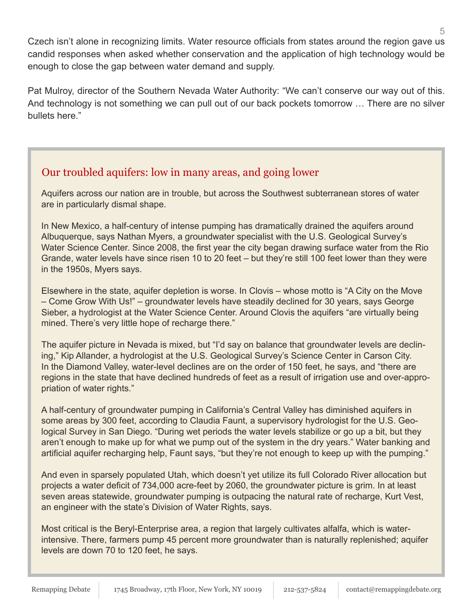Czech isn't alone in recognizing limits. Water resource officials from states around the region gave us candid responses when asked whether conservation and the application of high technology would be enough to close the gap between water demand and supply.

Pat Mulroy, director of the Southern Nevada Water Authority: "We can't conserve our way out of this. And technology is not something we can pull out of our back pockets tomorrow … There are no silver bullets here."

#### Our troubled aquifers: low in many areas, and going lower

Aquifers across our nation are in trouble, but across the Southwest subterranean stores of water are in particularly dismal shape.

In New Mexico, a half-century of intense pumping has dramatically drained the aquifers around Albuquerque, says Nathan Myers, a groundwater specialist with the U.S. Geological Survey's Water Science Center. Since 2008, the first year the city began drawing surface water from the Rio Grande, water levels have since risen 10 to 20 feet – but they're still 100 feet lower than they were in the 1950s, Myers says.

Elsewhere in the state, aquifer depletion is worse. In Clovis – whose motto is "A City on the Move – Come Grow With Us!" – groundwater levels have steadily declined for 30 years, says George Sieber, a hydrologist at the Water Science Center. Around Clovis the aquifers "are virtually being mined. There's very little hope of recharge there."

The aquifer picture in Nevada is mixed, but "I'd say on balance that groundwater levels are declining," Kip Allander, a hydrologist at the U.S. Geological Survey's Science Center in Carson City. In the Diamond Valley, water-level declines are on the order of 150 feet, he says, and "there are regions in the state that have declined hundreds of feet as a result of irrigation use and over-appropriation of water rights."

A half-century of groundwater pumping in California's Central Valley has diminished aquifers in some areas by 300 feet, according to Claudia Faunt, a supervisory hydrologist for the U.S. Geological Survey in San Diego. "During wet periods the water levels stabilize or go up a bit, but they aren't enough to make up for what we pump out of the system in the dry years." Water banking and artificial aquifer recharging help, Faunt says, "but they're not enough to keep up with the pumping."

And even in sparsely populated Utah, which doesn't yet utilize its full Colorado River allocation but projects a water deficit of 734,000 acre-feet by 2060, the groundwater picture is grim. In at least seven areas statewide, groundwater pumping is outpacing the natural rate of recharge, Kurt Vest, an engineer with the state's Division of Water Rights, says.

Most critical is the Beryl-Enterprise area, a region that largely cultivates alfalfa, which is waterintensive. There, farmers pump 45 percent more groundwater than is naturally replenished; aquifer levels are down 70 to 120 feet, he says.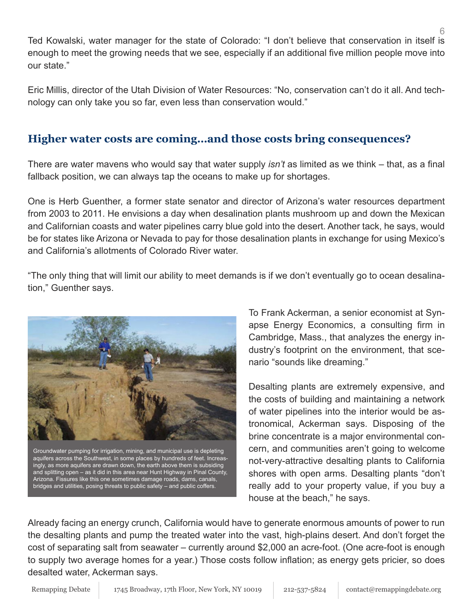Ted Kowalski, water manager for the state of Colorado: "I don't believe that conservation in itself is enough to meet the growing needs that we see, especially if an additional five million people move into our state."

Eric Millis, director of the Utah Division of Water Resources: "No, conservation can't do it all. And technology can only take you so far, even less than conservation would."

#### **Higher water costs are coming…and those costs bring consequences?**

There are water mavens who would say that water supply *isn't* as limited as we think – that, as a final fallback position, we can always tap the oceans to make up for shortages.

One is Herb Guenther, a former state senator and director of Arizona's water resources department from 2003 to 2011. He envisions a day when desalination plants mushroom up and down the Mexican and Californian coasts and water pipelines carry blue gold into the desert. Another tack, he says, would be for states like Arizona or Nevada to pay for those desalination plants in exchange for using Mexico's and California's allotments of Colorado River water.

"The only thing that will limit our ability to meet demands is if we don't eventually go to ocean desalination," Guenther says.



Groundwater pumping for irrigation, mining, and municipal use is depleting aquifers across the Southwest, in some places by hundreds of feet. Increasingly, as more aquifers are drawn down, the earth above them is subsiding and splitting open – as it did in this area near Hunt Highway in Pinal County, Arizona. Fissures like this one sometimes damage roads, dams, canals, bridges and utilities, posing threats to public safety – and public coffers.

To Frank Ackerman, a senior economist at Synapse Energy Economics, a consulting firm in Cambridge, Mass., that analyzes the energy industry's footprint on the environment, that scenario "sounds like dreaming."

Desalting plants are extremely expensive, and the costs of building and maintaining a network of water pipelines into the interior would be astronomical, Ackerman says. Disposing of the brine concentrate is a major environmental concern, and communities aren't going to welcome not-very-attractive desalting plants to California shores with open arms. Desalting plants "don't really add to your property value, if you buy a house at the beach," he says.

Already facing an energy crunch, California would have to generate enormous amounts of power to run the desalting plants and pump the treated water into the vast, high-plains desert. And don't forget the cost of separating salt from seawater – currently around \$2,000 an acre-foot. (One acre-foot is enough to supply two average homes for a year.) Those costs follow inflation; as energy gets pricier, so does desalted water, Ackerman says.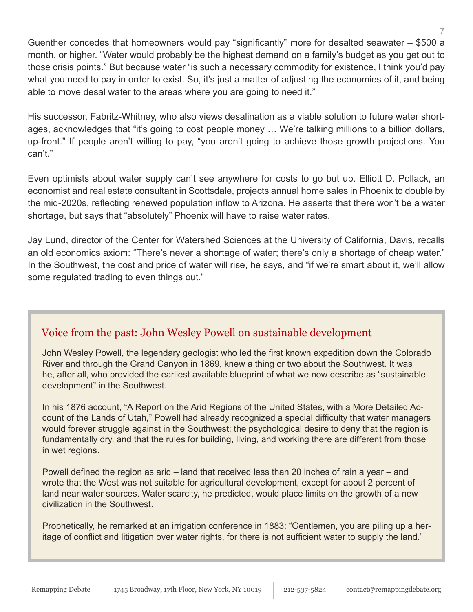Guenther concedes that homeowners would pay "significantly" more for desalted seawater – \$500 a month, or higher. "Water would probably be the highest demand on a family's budget as you get out to those crisis points." But because water "is such a necessary commodity for existence, I think you'd pay what you need to pay in order to exist. So, it's just a matter of adjusting the economies of it, and being able to move desal water to the areas where you are going to need it."

His successor, Fabritz-Whitney, who also views desalination as a viable solution to future water shortages, acknowledges that "it's going to cost people money … We're talking millions to a billion dollars, up-front." If people aren't willing to pay, "you aren't going to achieve those growth projections. You can't."

Even optimists about water supply can't see anywhere for costs to go but up. Elliott D. Pollack, an economist and real estate consultant in Scottsdale, projects annual home sales in Phoenix to double by the mid-2020s, reflecting renewed population inflow to Arizona. He asserts that there won't be a water shortage, but says that "absolutely" Phoenix will have to raise water rates.

Jay Lund, director of the Center for Watershed Sciences at the University of California, Davis, recalls an old economics axiom: "There's never a shortage of water; there's only a shortage of cheap water." In the Southwest, the cost and price of water will rise, he says, and "if we're smart about it, we'll allow some regulated trading to even things out."

#### Voice from the past: John Wesley Powell on sustainable development

John Wesley Powell, the legendary geologist who led the first known expedition down the Colorado River and through the Grand Canyon in 1869, knew a thing or two about the Southwest. It was he, after all, who provided the earliest available blueprint of what we now describe as "sustainable development" in the Southwest.

In his 1876 account, "A Report on the Arid Regions of the United States, with a More Detailed Account of the Lands of Utah," Powell had already recognized a special difficulty that water managers would forever struggle against in the Southwest: the psychological desire to deny that the region is fundamentally dry, and that the rules for building, living, and working there are different from those in wet regions.

Powell defined the region as arid – land that received less than 20 inches of rain a year – and wrote that the West was not suitable for agricultural development, except for about 2 percent of land near water sources. Water scarcity, he predicted, would place limits on the growth of a new civilization in the Southwest.

Prophetically, he remarked at an irrigation conference in 1883: "Gentlemen, you are piling up a heritage of conflict and litigation over water rights, for there is not sufficient water to supply the land."

7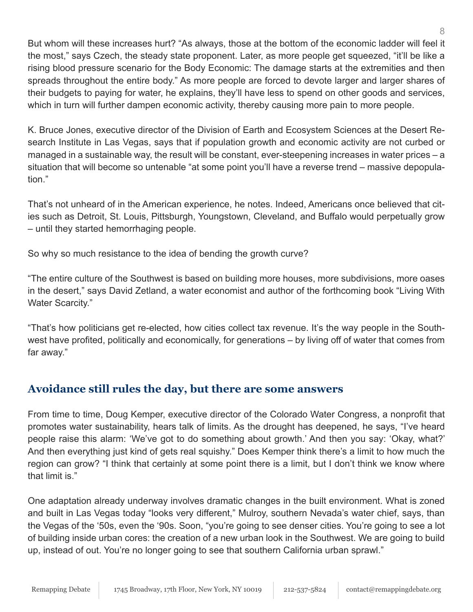But whom will these increases hurt? "As always, those at the bottom of the economic ladder will feel it the most," says Czech, the steady state proponent. Later, as more people get squeezed, "it'll be like a rising blood pressure scenario for the Body Economic: The damage starts at the extremities and then spreads throughout the entire body." As more people are forced to devote larger and larger shares of their budgets to paying for water, he explains, they'll have less to spend on other goods and services, which in turn will further dampen economic activity, thereby causing more pain to more people.

K. Bruce Jones, executive director of the Division of Earth and Ecosystem Sciences at the Desert Research Institute in Las Vegas, says that if population growth and economic activity are not curbed or managed in a sustainable way, the result will be constant, ever-steepening increases in water prices – a situation that will become so untenable "at some point you'll have a reverse trend – massive depopulation."

That's not unheard of in the American experience, he notes. Indeed, Americans once believed that cities such as Detroit, St. Louis, Pittsburgh, Youngstown, Cleveland, and Buffalo would perpetually grow – until they started hemorrhaging people.

So why so much resistance to the idea of bending the growth curve?

"The entire culture of the Southwest is based on building more houses, more subdivisions, more oases in the desert," says David Zetland, a water economist and author of the forthcoming book "Living With Water Scarcity."

"That's how politicians get re-elected, how cities collect tax revenue. It's the way people in the Southwest have profited, politically and economically, for generations – by living off of water that comes from far away."

## **Avoidance still rules the day, but there are some answers**

From time to time, Doug Kemper, executive director of the Colorado Water Congress, a nonprofit that promotes water sustainability, hears talk of limits. As the drought has deepened, he says, "I've heard people raise this alarm: 'We've got to do something about growth.' And then you say: 'Okay, what?' And then everything just kind of gets real squishy." Does Kemper think there's a limit to how much the region can grow? "I think that certainly at some point there is a limit, but I don't think we know where that limit is."

One adaptation already underway involves dramatic changes in the built environment. What is zoned and built in Las Vegas today "looks very different," Mulroy, southern Nevada's water chief, says, than the Vegas of the '50s, even the '90s. Soon, "you're going to see denser cities. You're going to see a lot of building inside urban cores: the creation of a new urban look in the Southwest. We are going to build up, instead of out. You're no longer going to see that southern California urban sprawl."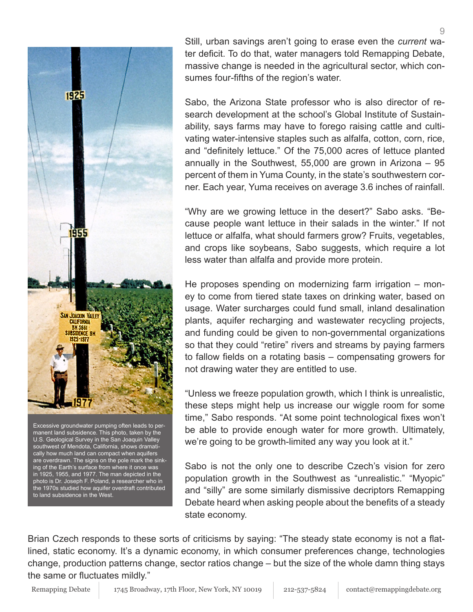

U.S. Geological Survey in the San Joaquin Valley southwest of Mendota, California, shows dramatically how much land can compact when aquifers are overdrawn. The signs on the pole mark the sinking of the Earth's surface from where it once was in 1925, 1955, and 1977. The man depicted in the photo is Dr. Joseph F. Poland, a researcher who in the 1970s studied how aquifer overdraft contributed to land subsidence in the West.

Still, urban savings aren't going to erase even the *current* water deficit. To do that, water managers told Remapping Debate, massive change is needed in the agricultural sector, which consumes four-fifths of the region's water.

Sabo, the Arizona State professor who is also director of research development at the school's Global Institute of Sustainability, says farms may have to forego raising cattle and cultivating water-intensive staples such as alfalfa, cotton, corn, rice, and "definitely lettuce." Of the 75,000 acres of lettuce planted annually in the Southwest, 55,000 are grown in Arizona – 95 percent of them in Yuma County, in the state's southwestern corner. Each year, Yuma receives on average 3.6 inches of rainfall.

"Why are we growing lettuce in the desert?" Sabo asks. "Because people want lettuce in their salads in the winter." If not lettuce or alfalfa, what should farmers grow? Fruits, vegetables, and crops like soybeans, Sabo suggests, which require a lot less water than alfalfa and provide more protein.

He proposes spending on modernizing farm irrigation – money to come from tiered state taxes on drinking water, based on usage. Water surcharges could fund small, inland desalination plants, aquifer recharging and wastewater recycling projects, and funding could be given to non-governmental organizations so that they could "retire" rivers and streams by paying farmers to fallow fields on a rotating basis – compensating growers for not drawing water they are entitled to use.

"Unless we freeze population growth, which I think is unrealistic, these steps might help us increase our wiggle room for some time," Sabo responds. "At some point technological fixes won't be able to provide enough water for more growth. Ultimately, we're going to be growth-limited any way you look at it."

Sabo is not the only one to describe Czech's vision for zero population growth in the Southwest as "unrealistic." "Myopic" and "silly" are some similarly dismissive decriptors Remapping Debate heard when asking people about the benefits of a steady state economy.

Brian Czech responds to these sorts of criticisms by saying: "The steady state economy is not a flatlined, static economy. It's a dynamic economy, in which consumer preferences change, technologies change, production patterns change, sector ratios change – but the size of the whole damn thing stays the same or fluctuates mildly."